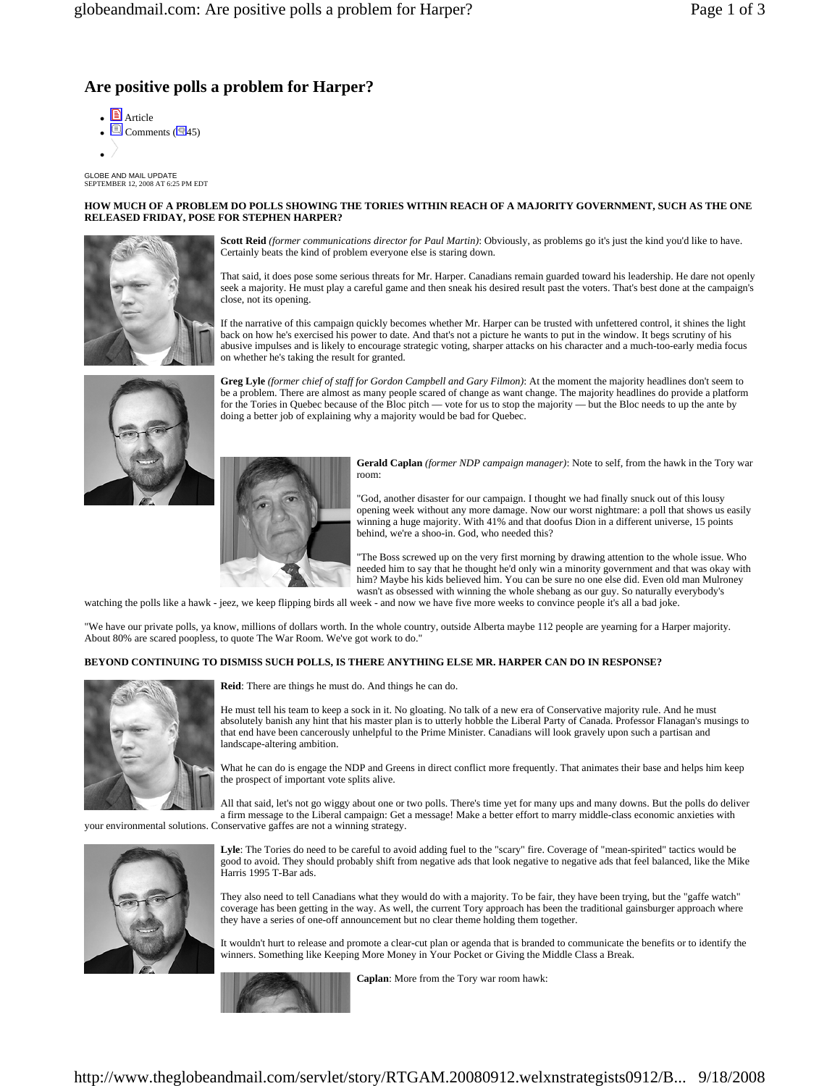# **Are positive polls a problem for Harper?**

- **E** Article  $\Box$  Comments ( $\Box$ 45)
- $\bullet$  /

GLOBE AND MAIL UPDATE SEPTEMBER 12, 2008 AT 6:25 PM EDT

#### **HOW MUCH OF A PROBLEM DO POLLS SHOWING THE TORIES WITHIN REACH OF A MAJORITY GOVERNMENT, SUCH AS THE ONE RELEASED FRIDAY, POSE FOR STEPHEN HARPER?**



**Scott Reid** *(former communications director for Paul Martin)*: Obviously, as problems go it's just the kind you'd like to have. Certainly beats the kind of problem everyone else is staring down.

That said, it does pose some serious threats for Mr. Harper. Canadians remain guarded toward his leadership. He dare not openly seek a majority. He must play a careful game and then sneak his desired result past the voters. That's best done at the campaign's close, not its opening.

If the narrative of this campaign quickly becomes whether Mr. Harper can be trusted with unfettered control, it shines the light back on how he's exercised his power to date. And that's not a picture he wants to put in the window. It begs scrutiny of his abusive impulses and is likely to encourage strategic voting, sharper attacks on his character and a much-too-early media focus on whether he's taking the result for granted.



**Greg Lyle** *(former chief of staff for Gordon Campbell and Gary Filmon)*: At the moment the majority headlines don't seem to be a problem. There are almost as many people scared of change as want change. The majority headlines do provide a platform for the Tories in Quebec because of the Bloc pitch — vote for us to stop the majority — but the Bloc needs to up the ante by doing a better job of explaining why a majority would be bad for Quebec.



**Gerald Caplan** *(former NDP campaign manager)*: Note to self, from the hawk in the Tory war room:

"God, another disaster for our campaign. I thought we had finally snuck out of this lousy opening week without any more damage. Now our worst nightmare: a poll that shows us easily winning a huge majority. With 41% and that doofus Dion in a different universe, 15 points behind, we're a shoo-in. God, who needed this?

"The Boss screwed up on the very first morning by drawing attention to the whole issue. Who needed him to say that he thought he'd only win a minority government and that was okay with him? Maybe his kids believed him. You can be sure no one else did. Even old man Mulroney wasn't as obsessed with winning the whole shebang as our guy. So naturally everybody's

watching the polls like a hawk - jeez, we keep flipping birds all week - and now we have five more weeks to convince people it's all a bad joke.

"We have our private polls, ya know, millions of dollars worth. In the whole country, outside Alberta maybe 112 people are yearning for a Harper majority. About 80% are scared poopless, to quote The War Room. We've got work to do."

#### **BEYOND CONTINUING TO DISMISS SUCH POLLS, IS THERE ANYTHING ELSE MR. HARPER CAN DO IN RESPONSE?**



**Reid**: There are things he must do. And things he can do.

He must tell his team to keep a sock in it. No gloating. No talk of a new era of Conservative majority rule. And he must absolutely banish any hint that his master plan is to utterly hobble the Liberal Party of Canada. Professor Flanagan's musings to that end have been cancerously unhelpful to the Prime Minister. Canadians will look gravely upon such a partisan and landscape-altering ambition.

What he can do is engage the NDP and Greens in direct conflict more frequently. That animates their base and helps him keep the prospect of important vote splits alive.

All that said, let's not go wiggy about one or two polls. There's time yet for many ups and many downs. But the polls do deliver a firm message to the Liberal campaign: Get a message! Make a better effort to marry middle-class economic anxieties with

your environmental solutions. Conservative gaffes are not a winning strategy.



**Lyle**: The Tories do need to be careful to avoid adding fuel to the "scary" fire. Coverage of "mean-spirited" tactics would be good to avoid. They should probably shift from negative ads that look negative to negative ads that feel balanced, like the Mike Harris 1995 T-Bar ads.

They also need to tell Canadians what they would do with a majority. To be fair, they have been trying, but the "gaffe watch" coverage has been getting in the way. As well, the current Tory approach has been the traditional gainsburger approach where they have a series of one-off announcement but no clear theme holding them together.

It wouldn't hurt to release and promote a clear-cut plan or agenda that is branded to communicate the benefits or to identify the winners. Something like Keeping More Money in Your Pocket or Giving the Middle Class a Break.



**Caplan**: More from the Tory war room hawk: